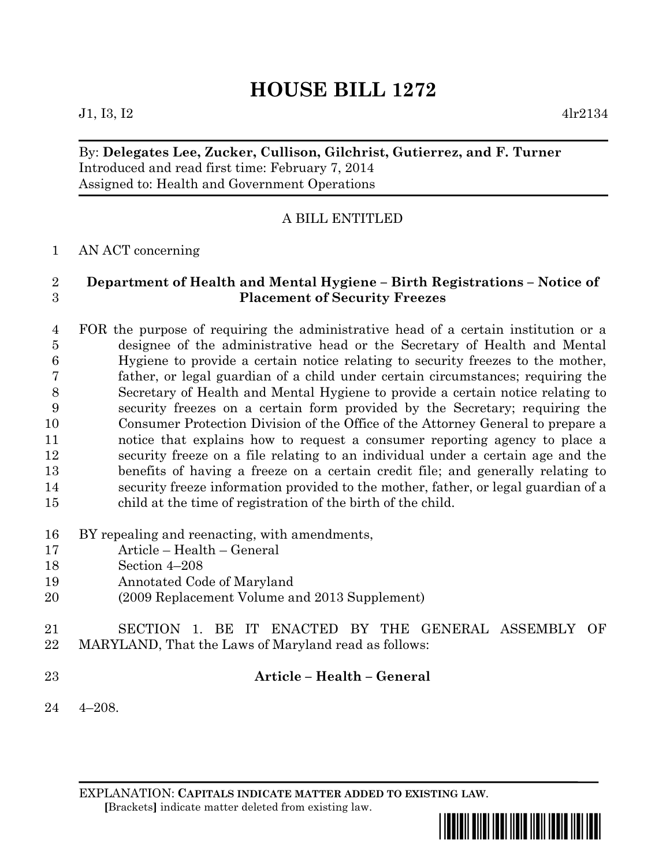# **HOUSE BILL 1272**

#### $J1, I3, I2$  4lr2134

## By: **Delegates Lee, Zucker, Cullison, Gilchrist, Gutierrez, and F. Turner** Introduced and read first time: February 7, 2014 Assigned to: Health and Government Operations

## A BILL ENTITLED

#### AN ACT concerning

## **Department of Health and Mental Hygiene – Birth Registrations – Notice of Placement of Security Freezes**

 FOR the purpose of requiring the administrative head of a certain institution or a designee of the administrative head or the Secretary of Health and Mental Hygiene to provide a certain notice relating to security freezes to the mother, father, or legal guardian of a child under certain circumstances; requiring the Secretary of Health and Mental Hygiene to provide a certain notice relating to security freezes on a certain form provided by the Secretary; requiring the Consumer Protection Division of the Office of the Attorney General to prepare a notice that explains how to request a consumer reporting agency to place a security freeze on a file relating to an individual under a certain age and the benefits of having a freeze on a certain credit file; and generally relating to security freeze information provided to the mother, father, or legal guardian of a child at the time of registration of the birth of the child.

- BY repealing and reenacting, with amendments,
- Article Health General
- Section 4–208
- Annotated Code of Maryland
- (2009 Replacement Volume and 2013 Supplement)
- SECTION 1. BE IT ENACTED BY THE GENERAL ASSEMBLY OF MARYLAND, That the Laws of Maryland read as follows:
- 

#### **Article – Health – General**

4–208.

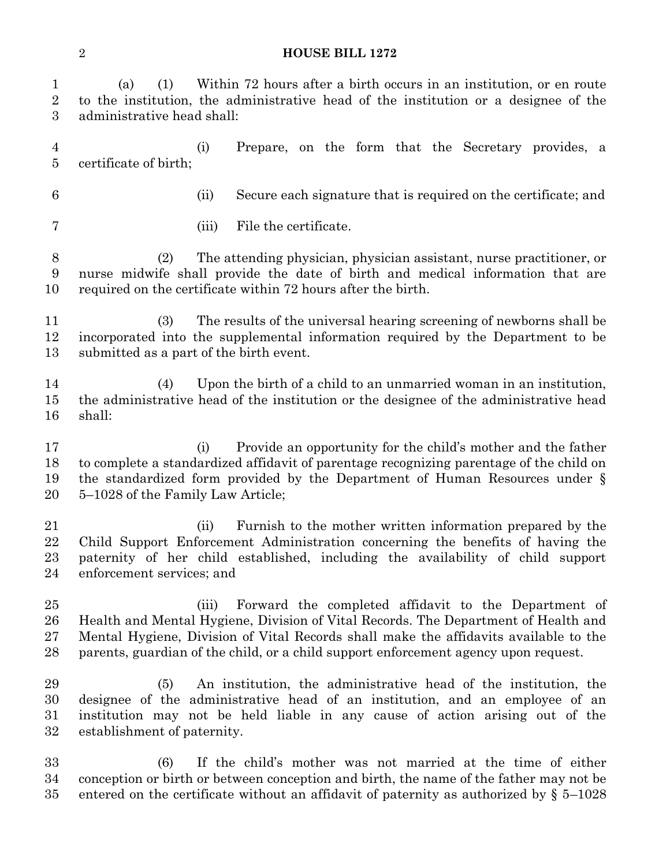#### **HOUSE BILL 1272**

(a) (1) Within 72 hours after a birth occurs in an institution, or en route

| $\boldsymbol{2}$<br>$\boldsymbol{3}$ | to the institution, the administrative head of the institution or a designee of the<br>administrative head shall:                                                                                                                                                                                                                  |                                                                                                                                                                                                                                                    |
|--------------------------------------|------------------------------------------------------------------------------------------------------------------------------------------------------------------------------------------------------------------------------------------------------------------------------------------------------------------------------------|----------------------------------------------------------------------------------------------------------------------------------------------------------------------------------------------------------------------------------------------------|
| $\overline{4}$<br>$\overline{5}$     | (i)<br>certificate of birth;                                                                                                                                                                                                                                                                                                       | Prepare, on the form that the Secretary provides, a                                                                                                                                                                                                |
| 6                                    | (ii)                                                                                                                                                                                                                                                                                                                               | Secure each signature that is required on the certificate; and                                                                                                                                                                                     |
| 7                                    | (iii)                                                                                                                                                                                                                                                                                                                              | File the certificate.                                                                                                                                                                                                                              |
| $\boldsymbol{8}$<br>9<br>10          | The attending physician, physician assistant, nurse practitioner, or<br>(2)<br>nurse midwife shall provide the date of birth and medical information that are<br>required on the certificate within 72 hours after the birth.                                                                                                      |                                                                                                                                                                                                                                                    |
| 11<br>12<br>13                       | (3)<br>The results of the universal hearing screening of newborns shall be<br>incorporated into the supplemental information required by the Department to be<br>submitted as a part of the birth event.                                                                                                                           |                                                                                                                                                                                                                                                    |
| 14<br>15<br>16                       | (4)<br>shall:                                                                                                                                                                                                                                                                                                                      | Upon the birth of a child to an unmarried woman in an institution,<br>the administrative head of the institution or the designee of the administrative head                                                                                        |
| 17<br>18<br>19<br>20                 | (i)<br>5–1028 of the Family Law Article;                                                                                                                                                                                                                                                                                           | Provide an opportunity for the child's mother and the father<br>to complete a standardized affidavit of parentage recognizing parentage of the child on<br>the standardized form provided by the Department of Human Resources under $\S$          |
| 21<br>22<br>23<br>24                 | (ii)<br>enforcement services; and                                                                                                                                                                                                                                                                                                  | Furnish to the mother written information prepared by the<br>Child Support Enforcement Administration concerning the benefits of having the<br>paternity of her child established, including the availability of child support                     |
| 25<br>26<br>27<br>28                 | (iii)<br>Forward the completed affidavit to the Department of<br>Health and Mental Hygiene, Division of Vital Records. The Department of Health and<br>Mental Hygiene, Division of Vital Records shall make the affidavits available to the<br>parents, guardian of the child, or a child support enforcement agency upon request. |                                                                                                                                                                                                                                                    |
| 29<br>30<br>31<br>32                 | (5)<br>establishment of paternity.                                                                                                                                                                                                                                                                                                 | An institution, the administrative head of the institution, the<br>designee of the administrative head of an institution, and an employee of an<br>institution may not be held liable in any cause of action arising out of the                    |
| 33<br>34<br>35                       | (6)                                                                                                                                                                                                                                                                                                                                | If the child's mother was not married at the time of either<br>conception or birth or between conception and birth, the name of the father may not be<br>entered on the certificate without an affidavit of paternity as authorized by $\S$ 5–1028 |
|                                      |                                                                                                                                                                                                                                                                                                                                    |                                                                                                                                                                                                                                                    |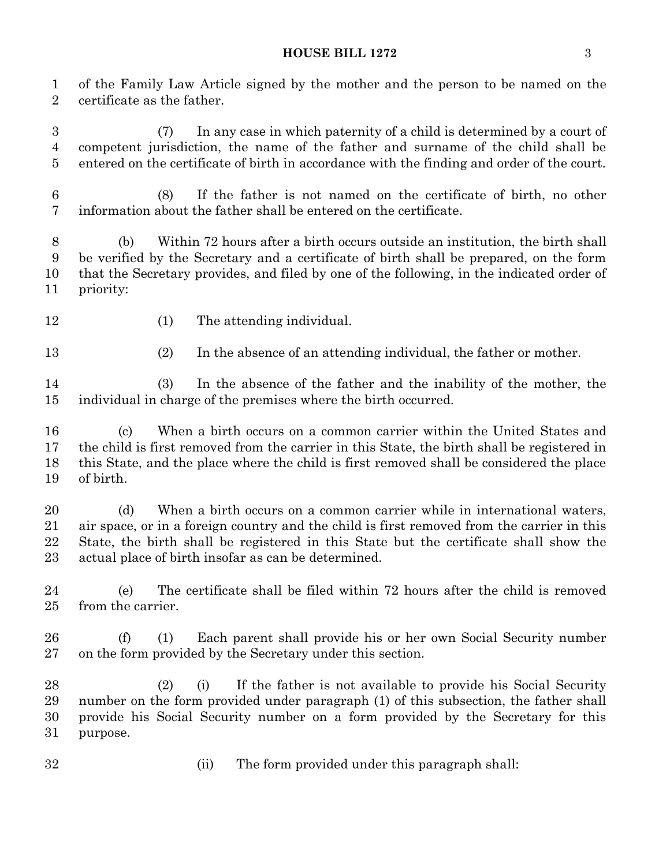#### **HOUSE BILL 1272** 3

 of the Family Law Article signed by the mother and the person to be named on the certificate as the father.

 (7) In any case in which paternity of a child is determined by a court of competent jurisdiction, the name of the father and surname of the child shall be entered on the certificate of birth in accordance with the finding and order of the court.

 (8) If the father is not named on the certificate of birth, no other information about the father shall be entered on the certificate.

 (b) Within 72 hours after a birth occurs outside an institution, the birth shall be verified by the Secretary and a certificate of birth shall be prepared, on the form that the Secretary provides, and filed by one of the following, in the indicated order of priority:

12 (1) The attending individual.

13 (2) In the absence of an attending individual, the father or mother.

 (3) In the absence of the father and the inability of the mother, the individual in charge of the premises where the birth occurred.

 (c) When a birth occurs on a common carrier within the United States and the child is first removed from the carrier in this State, the birth shall be registered in this State, and the place where the child is first removed shall be considered the place of birth.

 (d) When a birth occurs on a common carrier while in international waters, air space, or in a foreign country and the child is first removed from the carrier in this State, the birth shall be registered in this State but the certificate shall show the actual place of birth insofar as can be determined.

 (e) The certificate shall be filed within 72 hours after the child is removed from the carrier.

 (f) (1) Each parent shall provide his or her own Social Security number on the form provided by the Secretary under this section.

 (2) (i) If the father is not available to provide his Social Security number on the form provided under paragraph (1) of this subsection, the father shall provide his Social Security number on a form provided by the Secretary for this purpose.

(ii) The form provided under this paragraph shall: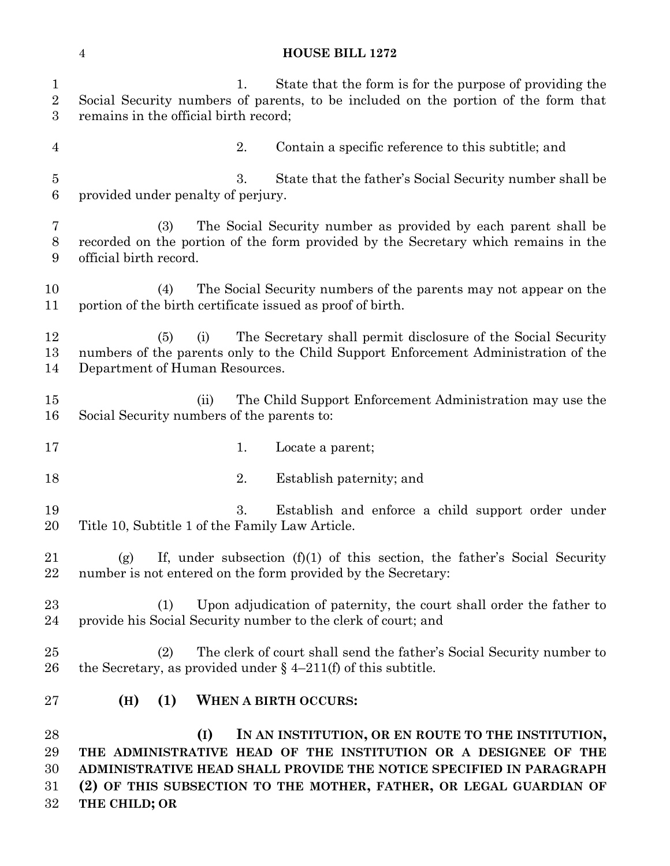|                                     | <b>HOUSE BILL 1272</b><br>$\overline{4}$                                                                                                                                                                                                                                  |
|-------------------------------------|---------------------------------------------------------------------------------------------------------------------------------------------------------------------------------------------------------------------------------------------------------------------------|
| $\mathbf{1}$<br>$\overline{2}$<br>3 | State that the form is for the purpose of providing the<br>1.<br>Social Security numbers of parents, to be included on the portion of the form that<br>remains in the official birth record;                                                                              |
| 4                                   | 2.<br>Contain a specific reference to this subtitle; and                                                                                                                                                                                                                  |
| 5<br>6                              | 3.<br>State that the father's Social Security number shall be<br>provided under penalty of perjury.                                                                                                                                                                       |
| 7<br>$8\,$<br>9                     | The Social Security number as provided by each parent shall be<br>(3)<br>recorded on the portion of the form provided by the Secretary which remains in the<br>official birth record.                                                                                     |
| 10<br>11                            | The Social Security numbers of the parents may not appear on the<br>(4)<br>portion of the birth certificate issued as proof of birth.                                                                                                                                     |
| 12<br>13<br>14                      | The Secretary shall permit disclosure of the Social Security<br>(5)<br>(i)<br>numbers of the parents only to the Child Support Enforcement Administration of the<br>Department of Human Resources.                                                                        |
| 15<br>16                            | The Child Support Enforcement Administration may use the<br>(ii)<br>Social Security numbers of the parents to:                                                                                                                                                            |
| 17                                  | 1.<br>Locate a parent;                                                                                                                                                                                                                                                    |
| 18                                  | 2.<br>Establish paternity; and                                                                                                                                                                                                                                            |
| 19<br>20                            | 3.<br>Establish and enforce a child support order under<br>Title 10, Subtitle 1 of the Family Law Article.                                                                                                                                                                |
| 21<br>22                            | If, under subsection $(f)(1)$ of this section, the father's Social Security<br>(g)<br>number is not entered on the form provided by the Secretary:                                                                                                                        |
| $23\,$<br>24                        | Upon adjudication of paternity, the court shall order the father to<br>(1)<br>provide his Social Security number to the clerk of court; and                                                                                                                               |
| 25<br>26                            | The clerk of court shall send the father's Social Security number to<br>(2)<br>the Secretary, as provided under $\S$ 4-211(f) of this subtitle.                                                                                                                           |
| $27\,$                              | (1)<br>WHEN A BIRTH OCCURS:<br>(H)                                                                                                                                                                                                                                        |
| 28<br>29<br>30<br>$31\,$            | IN AN INSTITUTION, OR EN ROUTE TO THE INSTITUTION,<br>(I)<br>THE ADMINISTRATIVE HEAD OF THE INSTITUTION OR A DESIGNEE OF THE<br>ADMINISTRATIVE HEAD SHALL PROVIDE THE NOTICE SPECIFIED IN PARAGRAPH<br>(2) OF THIS SUBSECTION TO THE MOTHER, FATHER, OR LEGAL GUARDIAN OF |

**THE CHILD; OR**